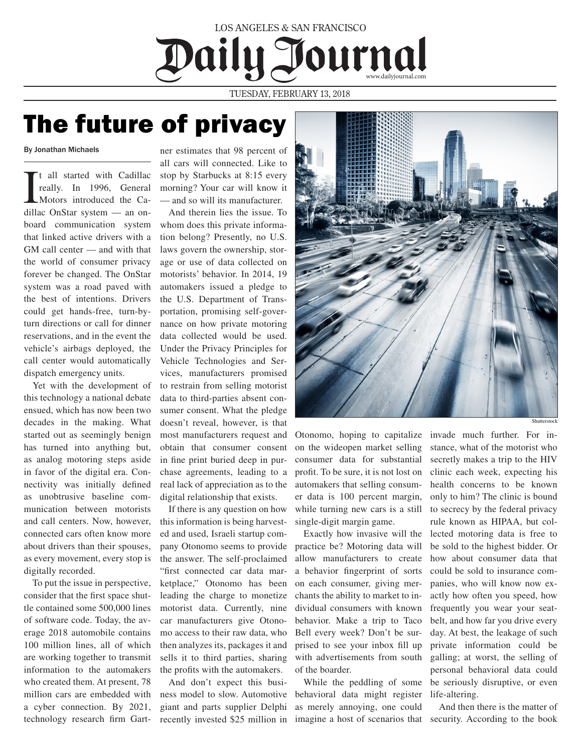## www.dailyjournal.com LOS ANGELES & SAN FRANCISCO

TUESDAY, FEBRUARY 13, 2018

## The future of privacy

By Jonathan Michaels

I t all started with Cadillac really. In 1996, General Motors introduced the Cadillac OnStar system — an onboard communication system that linked active drivers with a GM call center — and with that the world of consumer privacy forever be changed. The OnStar system was a road paved with the best of intentions. Drivers could get hands-free, turn-byturn directions or call for dinner reservations, and in the event the vehicle's airbags deployed, the call center would automatically dispatch emergency units.

Yet with the development of this technology a national debate ensued, which has now been two decades in the making. What started out as seemingly benign has turned into anything but, as analog motoring steps aside in favor of the digital era. Connectivity was initially defined as unobtrusive baseline communication between motorists and call centers. Now, however, connected cars often know more about drivers than their spouses, as every movement, every stop is digitally recorded.

To put the issue in perspective, consider that the first space shuttle contained some 500,000 lines of software code. Today, the average 2018 automobile contains 100 million lines, all of which are working together to transmit information to the automakers who created them. At present, 78 million cars are embedded with a cyber connection. By 2021, technology research firm Gartner estimates that 98 percent of all cars will connected. Like to stop by Starbucks at 8:15 every morning? Your car will know it — and so will its manufacturer.

And therein lies the issue. To whom does this private information belong? Presently, no U.S. laws govern the ownership, storage or use of data collected on motorists' behavior. In 2014, 19 automakers issued a pledge to the U.S. Department of Transportation, promising self-governance on how private motoring data collected would be used. Under the Privacy Principles for Vehicle Technologies and Services, manufacturers promised to restrain from selling motorist data to third-parties absent consumer consent. What the pledge doesn't reveal, however, is that most manufacturers request and obtain that consumer consent in fine print buried deep in purchase agreements, leading to a real lack of appreciation as to the digital relationship that exists.

If there is any question on how this information is being harvested and used, Israeli startup company Otonomo seems to provide the answer. The self-proclaimed "first connected car data marketplace," Otonomo has been leading the charge to monetize motorist data. Currently, nine car manufacturers give Otonomo access to their raw data, who then analyzes its, packages it and sells it to third parties, sharing the profits with the automakers.

And don't expect this business model to slow. Automotive giant and parts supplier Delphi recently invested \$25 million in



Otonomo, hoping to capitalize invade much further. For inon the wideopen market selling consumer data for substantial profit. To be sure, it is not lost on automakers that selling consumer data is 100 percent margin, while turning new cars is a still single-digit margin game.

Exactly how invasive will the practice be? Motoring data will allow manufacturers to create a behavior fingerprint of sorts on each consumer, giving merchants the ability to market to individual consumers with known behavior. Make a trip to Taco Bell every week? Don't be surprised to see your inbox fill up with advertisements from south of the boarder.

While the peddling of some behavioral data might register as merely annoying, one could

stance, what of the motorist who secretly makes a trip to the HIV clinic each week, expecting his health concerns to be known only to him? The clinic is bound to secrecy by the federal privacy rule known as HIPAA, but collected motoring data is free to be sold to the highest bidder. Or how about consumer data that could be sold to insurance companies, who will know now exactly how often you speed, how frequently you wear your seatbelt, and how far you drive every day. At best, the leakage of such private information could be galling; at worst, the selling of personal behavioral data could be seriously disruptive, or even life-altering.

imagine a host of scenarios that security. According to the book And then there is the matter of